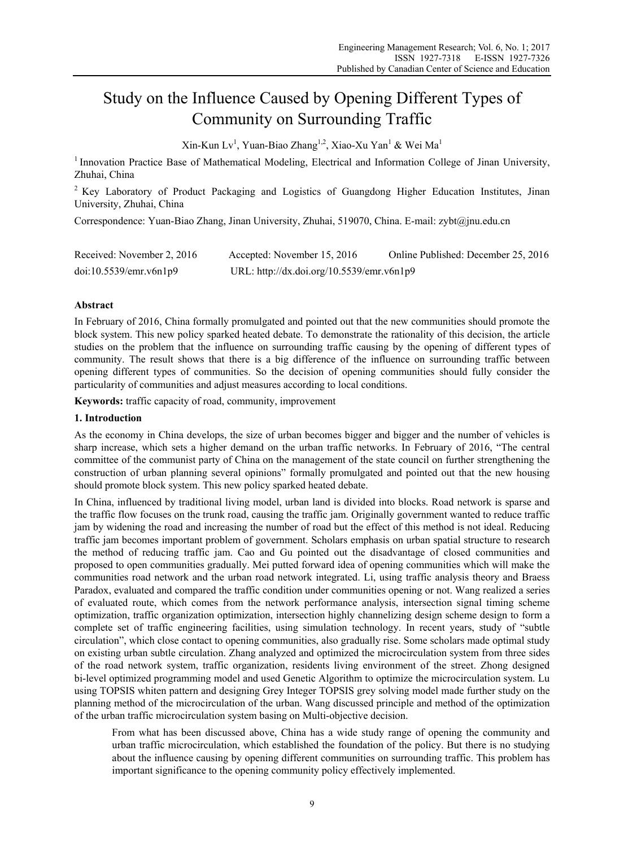# Study on the Influence Caused by Opening Different Types of Community on Surrounding Traffic

 $\text{Xin-Kun } \text{Lv}^1$ , Yuan-Biao Zhang<sup>1,2</sup>, Xiao-Xu Yan<sup>1</sup> & Wei Ma<sup>1</sup>

<sup>1</sup> Innovation Practice Base of Mathematical Modeling, Electrical and Information College of Jinan University, Zhuhai, China

<sup>2</sup> Key Laboratory of Product Packaging and Logistics of Guangdong Higher Education Institutes, Jinan University, Zhuhai, China

Correspondence: Yuan-Biao Zhang, Jinan University, Zhuhai, 519070, China. E-mail: zybt@jnu.edu.cn

| Received: November 2, 2016 | Accepted: November 15, 2016               | Online Published: December 25, 2016 |
|----------------------------|-------------------------------------------|-------------------------------------|
| doi:10.5539/emr.v6n1p9     | URL: http://dx.doi.org/10.5539/emr.v6n1p9 |                                     |

# **Abstract**

In February of 2016, China formally promulgated and pointed out that the new communities should promote the block system. This new policy sparked heated debate. To demonstrate the rationality of this decision, the article studies on the problem that the influence on surrounding traffic causing by the opening of different types of community. The result shows that there is a big difference of the influence on surrounding traffic between opening different types of communities. So the decision of opening communities should fully consider the particularity of communities and adjust measures according to local conditions.

**Keywords:** traffic capacity of road, community, improvement

# **1. Introduction**

As the economy in China develops, the size of urban becomes bigger and bigger and the number of vehicles is sharp increase, which sets a higher demand on the urban traffic networks. In February of 2016, "The central committee of the communist party of China on the management of the state council on further strengthening the construction of urban planning several opinions" formally promulgated and pointed out that the new housing should promote block system. This new policy sparked heated debate.

In China, influenced by traditional living model, urban land is divided into blocks. Road network is sparse and the traffic flow focuses on the trunk road, causing the traffic jam. Originally government wanted to reduce traffic jam by widening the road and increasing the number of road but the effect of this method is not ideal. Reducing traffic jam becomes important problem of government. Scholars emphasis on urban spatial structure to research the method of reducing traffic jam. Cao and Gu pointed out the disadvantage of closed communities and proposed to open communities gradually. Mei putted forward idea of opening communities which will make the communities road network and the urban road network integrated. Li, using traffic analysis theory and Braess Paradox, evaluated and compared the traffic condition under communities opening or not. Wang realized a series of evaluated route, which comes from the network performance analysis, intersection signal timing scheme optimization, traffic organization optimization, intersection highly channelizing design scheme design to form a complete set of traffic engineering facilities, using simulation technology. In recent years, study of "subtle circulation", which close contact to opening communities, also gradually rise. Some scholars made optimal study on existing urban subtle circulation. Zhang analyzed and optimized the microcirculation system from three sides of the road network system, traffic organization, residents living environment of the street. Zhong designed bi-level optimized programming model and used Genetic Algorithm to optimize the microcirculation system. Lu using TOPSIS whiten pattern and designing Grey Integer TOPSIS grey solving model made further study on the planning method of the microcirculation of the urban. Wang discussed principle and method of the optimization of the urban traffic microcirculation system basing on Multi-objective decision.

From what has been discussed above, China has a wide study range of opening the community and urban traffic microcirculation, which established the foundation of the policy. But there is no studying about the influence causing by opening different communities on surrounding traffic. This problem has important significance to the opening community policy effectively implemented.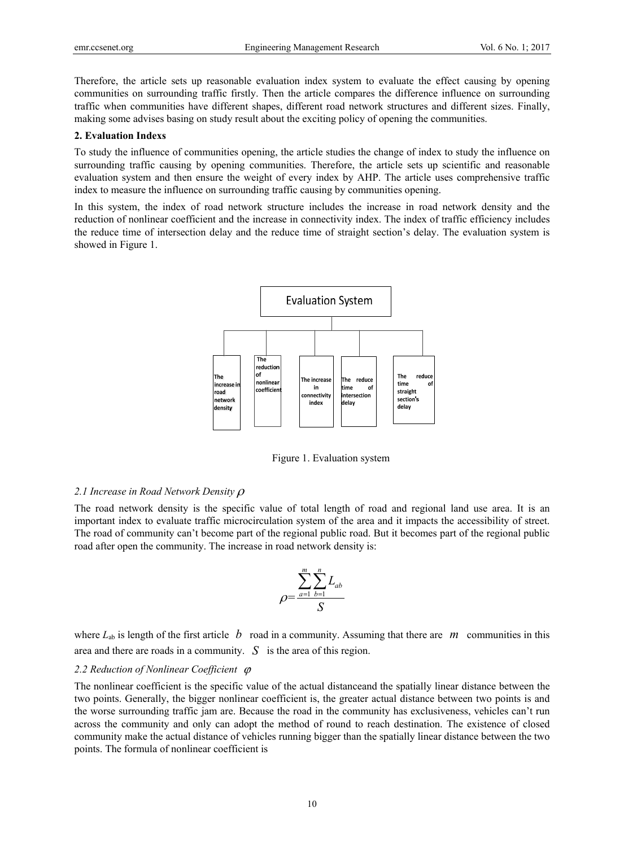Therefore, the article sets up reasonable evaluation index system to evaluate the effect causing by opening communities on surrounding traffic firstly. Then the article compares the difference influence on surrounding traffic when communities have different shapes, different road network structures and different sizes. Finally, making some advises basing on study result about the exciting policy of opening the communities.

#### **2. Evaluation Indexs**

To study the influence of communities opening, the article studies the change of index to study the influence on surrounding traffic causing by opening communities. Therefore, the article sets up scientific and reasonable evaluation system and then ensure the weight of every index by AHP. The article uses comprehensive traffic index to measure the influence on surrounding traffic causing by communities opening.

In this system, the index of road network structure includes the increase in road network density and the reduction of nonlinear coefficient and the increase in connectivity index. The index of traffic efficiency includes the reduce time of intersection delay and the reduce time of straight section's delay. The evaluation system is showed in Figure 1.



Figure 1. Evaluation system

#### *2.1 Increase in Road Network Density*

The road network density is the specific value of total length of road and regional land use area. It is an important index to evaluate traffic microcirculation system of the area and it impacts the accessibility of street. The road of community can't become part of the regional public road. But it becomes part of the regional public road after open the community. The increase in road network density is:

$$
\rho = \frac{\sum_{a=1}^{m} \sum_{b=1}^{n} L_{ab}}{S}
$$

where  $L_{ab}$  is length of the first article  $b$  road in a community. Assuming that there are  $m$  communities in this area and there are roads in a community. *S* is the area of this region.

## *2.2 Reduction of Nonlinear Coefficient*

The nonlinear coefficient is the specific value of the actual distanceand the spatially linear distance between the two points. Generally, the bigger nonlinear coefficient is, the greater actual distance between two points is and the worse surrounding traffic jam are. Because the road in the community has exclusiveness, vehicles can't run across the community and only can adopt the method of round to reach destination. The existence of closed community make the actual distance of vehicles running bigger than the spatially linear distance between the two points. The formula of nonlinear coefficient is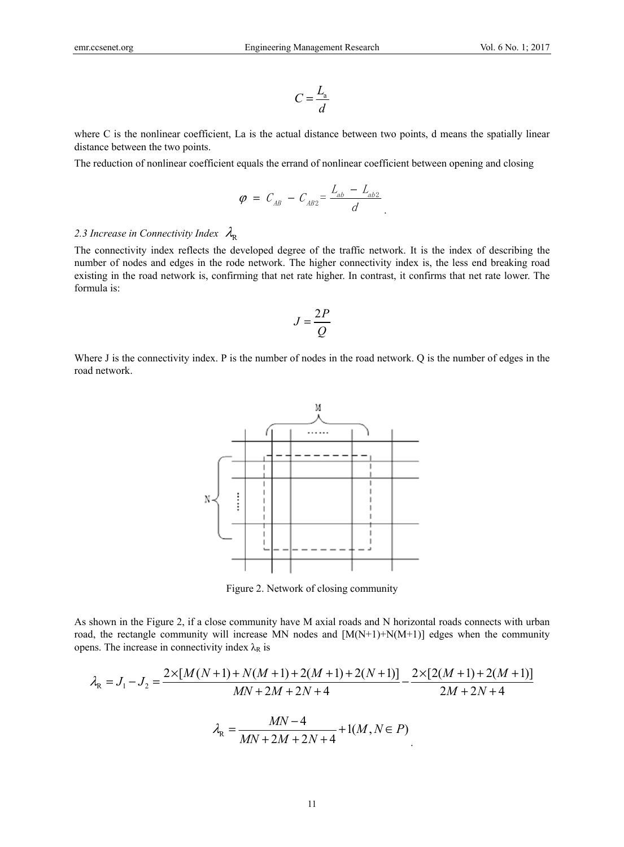$$
C = \frac{L_{\rm a}}{d}
$$

where C is the nonlinear coefficient, La is the actual distance between two points, d means the spatially linear distance between the two points.

The reduction of nonlinear coefficient equals the errand of nonlinear coefficient between opening and closing

$$
\varphi = C_{AB} - C_{AB2} = \frac{L_{ab} - L_{ab2}}{d}.
$$

# 2.3 Increase in Connectivity Index  $\lambda_{\rm R}$

The connectivity index reflects the developed degree of the traffic network. It is the index of describing the number of nodes and edges in the rode network. The higher connectivity index is, the less end breaking road existing in the road network is, confirming that net rate higher. In contrast, it confirms that net rate lower. The formula is:

$$
J=\frac{2P}{Q}
$$

Where J is the connectivity index. P is the number of nodes in the road network. Q is the number of edges in the road network.



Figure 2. Network of closing community

As shown in the Figure 2, if a close community have M axial roads and N horizontal roads connects with urban road, the rectangle community will increase MN nodes and  $[M(N+1)+N(M+1)]$  edges when the community opens. The increase in connectivity index  $\lambda_R$  is

$$
\lambda_{\rm R} = J_1 - J_2 = \frac{2 \times [M(N+1) + N(M+1) + 2(M+1) + 2(N+1)]}{MN + 2M + 2N + 4} - \frac{2 \times [2(M+1) + 2(M+1)]}{2M + 2N + 4}
$$

$$
\lambda_{\rm R} = \frac{MN - 4}{MN + 2M + 2N + 4} + 1(M, N \in P)
$$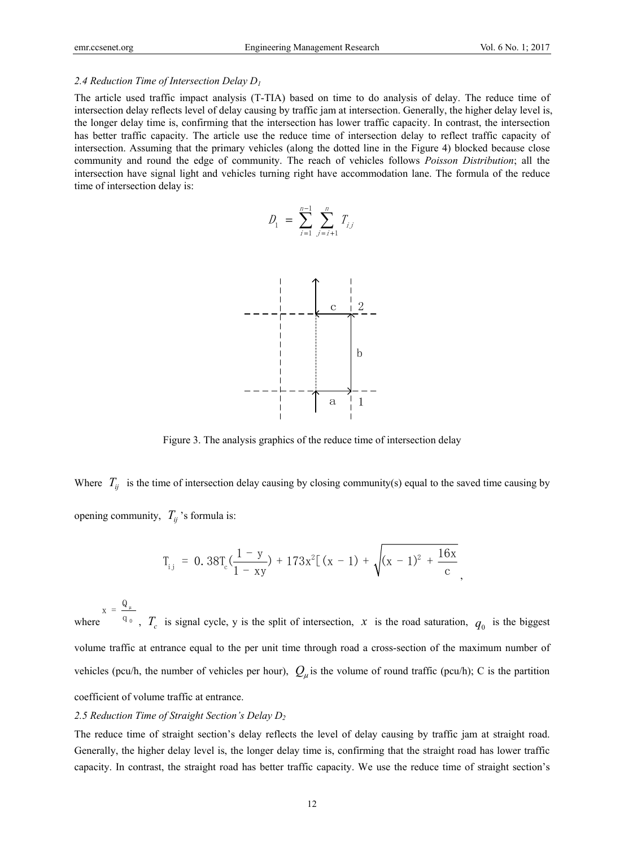## *2.4 Reduction Time of Intersection Delay D1*

The article used traffic impact analysis (T-TIA) based on time to do analysis of delay. The reduce time of intersection delay reflects level of delay causing by traffic jam at intersection. Generally, the higher delay level is, the longer delay time is, confirming that the intersection has lower traffic capacity. In contrast, the intersection has better traffic capacity. The article use the reduce time of intersection delay to reflect traffic capacity of intersection. Assuming that the primary vehicles (along the dotted line in the Figure 4) blocked because close community and round the edge of community. The reach of vehicles follows *Poisson Distribution*; all the intersection have signal light and vehicles turning right have accommodation lane. The formula of the reduce time of intersection delay is:

$$
D_1 = \sum_{i=1}^{n-1} \sum_{j=i+1}^{n} T_{ij}
$$



Figure 3. The analysis graphics of the reduce time of intersection delay

Where  $T_{ii}$  is the time of intersection delay causing by closing community(s) equal to the saved time causing by opening community,  $T_{ii}$ 's formula is:

$$
T_{i,j} = 0.38T_c(\frac{1-y}{1-xy}) + 173x^2[(x-1) + \sqrt{(x-1)^2 + \frac{16x}{c}}],
$$

where μ  $x = \frac{Q_{\mu}}{q_{0}}$ ,  $T_{c}$  is signal cycle, y is the split of intersection, *x* is the road saturation,  $q_{0}$  is the biggest volume traffic at entrance equal to the per unit time through road a cross-section of the maximum number of vehicles (pcu/h, the number of vehicles per hour),  $Q_\mu$  is the volume of round traffic (pcu/h); C is the partition coefficient of volume traffic at entrance.

## *2.5 Reduction Time of Straight Section's Delay D2*

The reduce time of straight section's delay reflects the level of delay causing by traffic jam at straight road. Generally, the higher delay level is, the longer delay time is, confirming that the straight road has lower traffic capacity. In contrast, the straight road has better traffic capacity. We use the reduce time of straight section's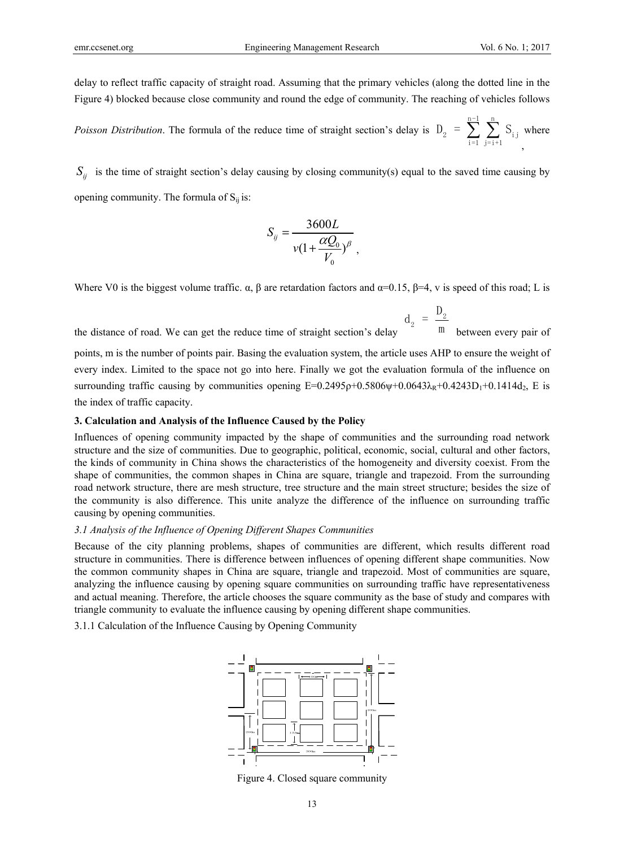delay to reflect traffic capacity of straight road. Assuming that the primary vehicles (along the dotted line in the Figure 4) blocked because close community and round the edge of community. The reaching of vehicles follows

*Poisson Distribution*. The formula of the reduce time of straight section's delay is n-1 n  $D_2 = \sum_{i=1}^{\infty} \sum_{j=i+1} S_{i,j}$ , where

 $S_{ii}$  is the time of straight section's delay causing by closing community(s) equal to the saved time causing by opening community. The formula of  $S_{ii}$  is:

$$
S_{ij} = \frac{3600L}{v(1 + \frac{\alpha Q_0}{V_0})^{\beta}},
$$

Where V0 is the biggest volume traffic.  $\alpha$ ,  $\beta$  are retardation factors and  $\alpha$ =0.15,  $\beta$ =4, v is speed of this road; L is

the distance of road. We can get the reduce time of straight section's delay 2  $d_2 = \frac{D}{a}$ m between every pair of

points, m is the number of points pair. Basing the evaluation system, the article uses AHP to ensure the weight of every index. Limited to the space not go into here. Finally we got the evaluation formula of the influence on surrounding traffic causing by communities opening  $E=0.2495\rho+0.5806\psi+0.0643\lambda_R+0.4243D_1+0.1414d_2$ , E is the index of traffic capacity.

#### **3. Calculation and Analysis of the Influence Caused by the Policy**

Influences of opening community impacted by the shape of communities and the surrounding road network structure and the size of communities. Due to geographic, political, economic, social, cultural and other factors, the kinds of community in China shows the characteristics of the homogeneity and diversity coexist. From the shape of communities, the common shapes in China are square, triangle and trapezoid. From the surrounding road network structure, there are mesh structure, tree structure and the main street structure; besides the size of the community is also difference. This unite analyze the difference of the influence on surrounding traffic causing by opening communities.

#### *3.1 Analysis of the Influence of Opening Different Shapes Communities*

Because of the city planning problems, shapes of communities are different, which results different road structure in communities. There is difference between influences of opening different shape communities. Now the common community shapes in China are square, triangle and trapezoid. Most of communities are square, analyzing the influence causing by opening square communities on surrounding traffic have representativeness and actual meaning. Therefore, the article chooses the square community as the base of study and compares with triangle community to evaluate the influence causing by opening different shape communities.

3.1.1 Calculation of the Influence Causing by Opening Community



Figure 4. Closed square community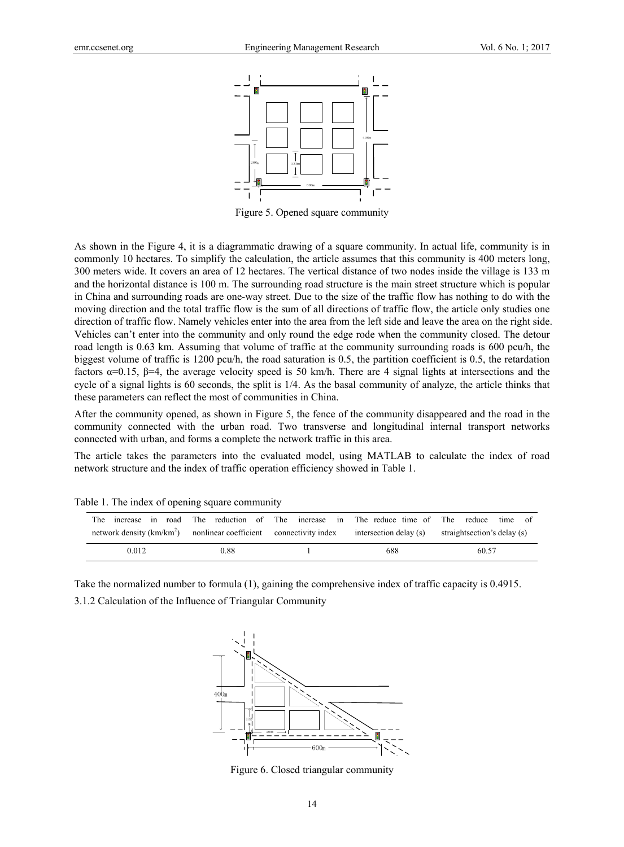

Figure 5. Opened square community

As shown in the Figure 4, it is a diagrammatic drawing of a square community. In actual life, community is in commonly 10 hectares. To simplify the calculation, the article assumes that this community is 400 meters long, 300 meters wide. It covers an area of 12 hectares. The vertical distance of two nodes inside the village is 133 m and the horizontal distance is 100 m. The surrounding road structure is the main street structure which is popular in China and surrounding roads are one-way street. Due to the size of the traffic flow has nothing to do with the moving direction and the total traffic flow is the sum of all directions of traffic flow, the article only studies one direction of traffic flow. Namely vehicles enter into the area from the left side and leave the area on the right side. Vehicles can't enter into the community and only round the edge rode when the community closed. The detour road length is 0.63 km. Assuming that volume of traffic at the community surrounding roads is 600 pcu/h, the biggest volume of traffic is 1200 pcu/h, the road saturation is 0.5, the partition coefficient is 0.5, the retardation factors α=0.15, β=4, the average velocity speed is 50 km/h. There are 4 signal lights at intersections and the cycle of a signal lights is 60 seconds, the split is 1/4. As the basal community of analyze, the article thinks that these parameters can reflect the most of communities in China.

After the community opened, as shown in Figure 5, the fence of the community disappeared and the road in the community connected with the urban road. Two transverse and longitudinal internal transport networks connected with urban, and forms a complete the network traffic in this area.

The article takes the parameters into the evaluated model, using MATLAB to calculate the index of road network structure and the index of traffic operation efficiency showed in Table 1.

| The                                                                                                                               |      | increase in road. The reduction of The increase in The reduce time of The reduce | time of |
|-----------------------------------------------------------------------------------------------------------------------------------|------|----------------------------------------------------------------------------------|---------|
| network density (km/km <sup>2</sup> ) nonlinear coefficient connectivity index intersection delay (s) straightsection's delay (s) |      |                                                                                  |         |
| 0.012                                                                                                                             | 0.88 | 688                                                                              | 60.57   |

Table 1. The index of opening square community

Take the normalized number to formula (1), gaining the comprehensive index of traffic capacity is 0.4915. 3.1.2 Calculation of the Influence of Triangular Community



Figure 6. Closed triangular community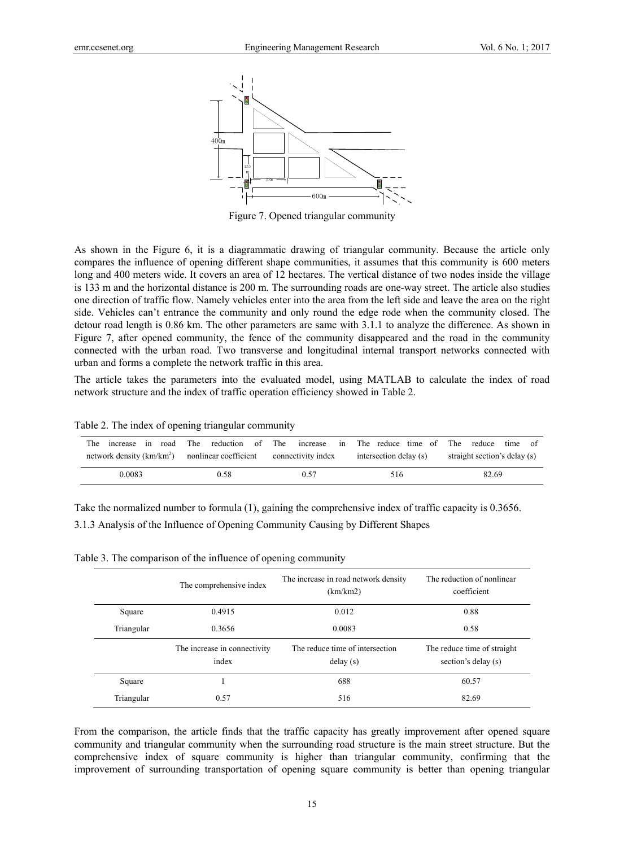

Figure 7. Opened triangular community

As shown in the Figure 6, it is a diagrammatic drawing of triangular community. Because the article only compares the influence of opening different shape communities, it assumes that this community is 600 meters long and 400 meters wide. It covers an area of 12 hectares. The vertical distance of two nodes inside the village is 133 m and the horizontal distance is 200 m. The surrounding roads are one-way street. The article also studies one direction of traffic flow. Namely vehicles enter into the area from the left side and leave the area on the right side. Vehicles can't entrance the community and only round the edge rode when the community closed. The detour road length is 0.86 km. The other parameters are same with 3.1.1 to analyze the difference. As shown in Figure 7, after opened community, the fence of the community disappeared and the road in the community connected with the urban road. Two transverse and longitudinal internal transport networks connected with urban and forms a complete the network traffic in this area.

The article takes the parameters into the evaluated model, using MATLAB to calculate the index of road network structure and the index of traffic operation efficiency showed in Table 2.

| road<br>The<br>increase in                                           |      |      | The reduction of The increase in The reduce time of The reduce | time of                      |
|----------------------------------------------------------------------|------|------|----------------------------------------------------------------|------------------------------|
| network density $(km/km^2)$ nonlinear coefficient connectivity index |      |      | intersection delay (s)                                         | straight section's delay (s) |
| 0.0083                                                               | 0.58 | 0.57 | 516                                                            | 82.69                        |

Table 2. The index of opening triangular community

Take the normalized number to formula (1), gaining the comprehensive index of traffic capacity is 0.3656. 3.1.3 Analysis of the Influence of Opening Community Causing by Different Shapes

Table 3. The comparison of the influence of opening community

|            | The comprehensive index               | The increase in road network density<br>(km/km2) | The reduction of nonlinear<br>coefficient          |
|------------|---------------------------------------|--------------------------------------------------|----------------------------------------------------|
| Square     | 0.4915                                | 0.012                                            | 0.88                                               |
| Triangular | 0.3656                                | 0.0083                                           | 0.58                                               |
|            | The increase in connectivity<br>index | The reduce time of intersection<br>delay(s)      | The reduce time of straight<br>section's delay (s) |
| Square     |                                       | 688                                              | 60.57                                              |
| Triangular | 0.57                                  | 516                                              | 82.69                                              |

From the comparison, the article finds that the traffic capacity has greatly improvement after opened square community and triangular community when the surrounding road structure is the main street structure. But the comprehensive index of square community is higher than triangular community, confirming that the improvement of surrounding transportation of opening square community is better than opening triangular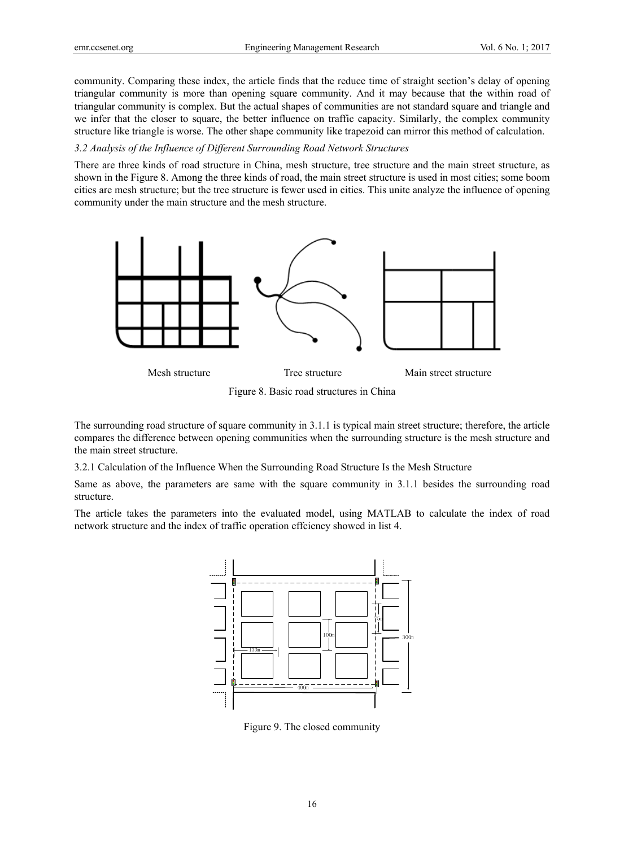community. Comparing these index, the article finds that the reduce time of straight section's delay of opening triangular community is more than opening square community. And it may because that the within road of triangular community is complex. But the actual shapes of communities are not standard square and triangle and we infer that the closer to square, the better influence on traffic capacity. Similarly, the complex community structure like triangle is worse. The other shape community like trapezoid can mirror this method of calculation.

## *3.2 Analysis of the Influence of Different Surrounding Road Network Structures*

There are three kinds of road structure in China, mesh structure, tree structure and the main street structure, as shown in the Figure 8. Among the three kinds of road, the main street structure is used in most cities; some boom cities are mesh structure; but the tree structure is fewer used in cities. This unite analyze the influence of opening community under the main structure and the mesh structure.



Figure 8. Basic road structures in China

The surrounding road structure of square community in 3.1.1 is typical main street structure; therefore, the article compares the difference between opening communities when the surrounding structure is the mesh structure and the main street structure.

3.2.1 Calculation of the Influence When the Surrounding Road Structure Is the Mesh Structure

Same as above, the parameters are same with the square community in 3.1.1 besides the surrounding road structure.

The article takes the parameters into the evaluated model, using MATLAB to calculate the index of road network structure and the index of traffic operation effciency showed in list 4.



Figure 9. The closed community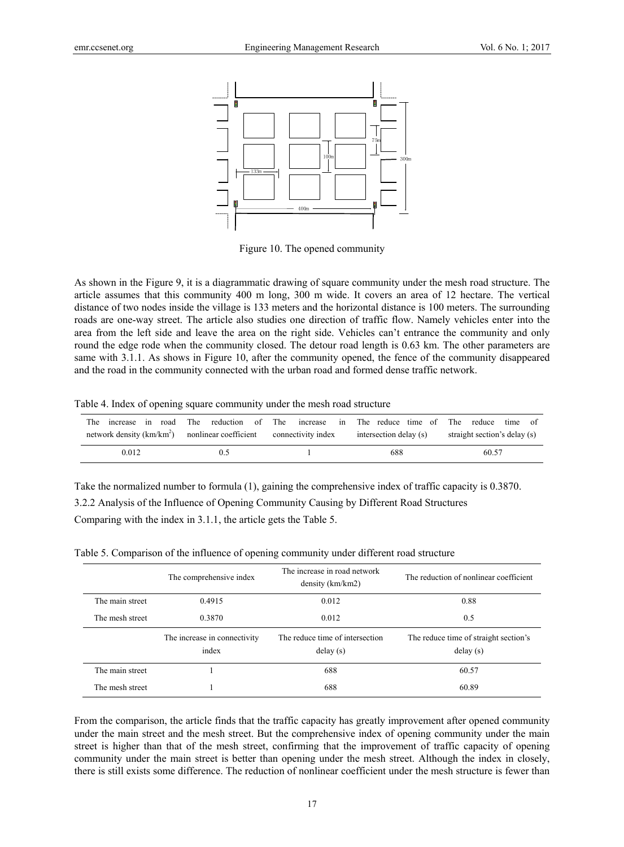

Figure 10. The opened community

As shown in the Figure 9, it is a diagrammatic drawing of square community under the mesh road structure. The article assumes that this community 400 m long, 300 m wide. It covers an area of 12 hectare. The vertical distance of two nodes inside the village is 133 meters and the horizontal distance is 100 meters. The surrounding roads are one-way street. The article also studies one direction of traffic flow. Namely vehicles enter into the area from the left side and leave the area on the right side. Vehicles can't entrance the community and only round the edge rode when the community closed. The detour road length is 0.63 km. The other parameters are same with 3.1.1. As shows in Figure 10, after the community opened, the fence of the community disappeared and the road in the community connected with the urban road and formed dense traffic network.

Table 4. Index of opening square community under the mesh road structure

|                                                                                                       |                |     | The increase in road The reduction of The increase in The reduce time of The reduce time of |
|-------------------------------------------------------------------------------------------------------|----------------|-----|---------------------------------------------------------------------------------------------|
| network density (km/km <sup>2</sup> ) nonlinear coefficient connectivity index intersection delay (s) |                |     | straight section's delay (s)                                                                |
| 0.012                                                                                                 | 0 <sup>5</sup> | 688 | 60.57                                                                                       |

Take the normalized number to formula (1), gaining the comprehensive index of traffic capacity is 0.3870. 3.2.2 Analysis of the Influence of Opening Community Causing by Different Road Structures Comparing with the index in 3.1.1, the article gets the Table 5.

|                 | The comprehensive index               | The increase in road network<br>density (km/km2) | The reduction of nonlinear coefficient            |
|-----------------|---------------------------------------|--------------------------------------------------|---------------------------------------------------|
| The main street | 0.4915                                | 0.012                                            | 0.88                                              |
| The mesh street | 0.3870                                | 0.012                                            | 0.5                                               |
|                 |                                       |                                                  |                                                   |
|                 | The increase in connectivity<br>index | The reduce time of intersection<br>delay(s)      | The reduce time of straight section's<br>delay(s) |
| The main street |                                       | 688                                              | 60.57                                             |

Table 5. Comparison of the influence of opening community under different road structure

From the comparison, the article finds that the traffic capacity has greatly improvement after opened community under the main street and the mesh street. But the comprehensive index of opening community under the main street is higher than that of the mesh street, confirming that the improvement of traffic capacity of opening community under the main street is better than opening under the mesh street. Although the index in closely, there is still exists some difference. The reduction of nonlinear coefficient under the mesh structure is fewer than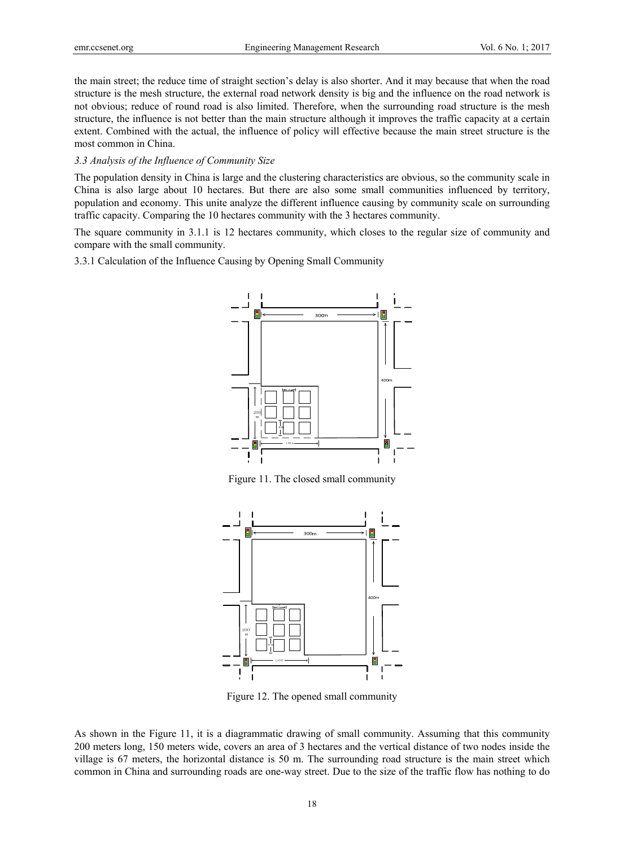the main street; the reduce time of straight section's delay is also shorter. And it may because that when the road structure is the mesh structure, the external road network density is big and the influence on the road network is not obvious; reduce of round road is also limited. Therefore, when the surrounding road structure is the mesh structure, the influence is not better than the main structure although it improves the traffic capacity at a certain extent. Combined with the actual, the influence of policy will effective because the main street structure is the most common in China.

## *3.3 Analysis of the Influence of Community Size*

The population density in China is large and the clustering characteristics are obvious, so the community scale in China is also large about 10 hectares. But there are also some small communities influenced by territory, population and economy. This unite analyze the different influence causing by community scale on surrounding traffic capacity. Comparing the 10 hectares community with the 3 hectares community.

The square community in 3.1.1 is 12 hectares community, which closes to the regular size of community and compare with the small community.

3.3.1 Calculation of the Influence Causing by Opening Small Community



Figure 11. The closed small community



Figure 12. The opened small community

As shown in the Figure 11, it is a diagrammatic drawing of small community. Assuming that this community 200 meters long, 150 meters wide, covers an area of 3 hectares and the vertical distance of two nodes inside the village is 67 meters, the horizontal distance is 50 m. The surrounding road structure is the main street which common in China and surrounding roads are one-way street. Due to the size of the traffic flow has nothing to do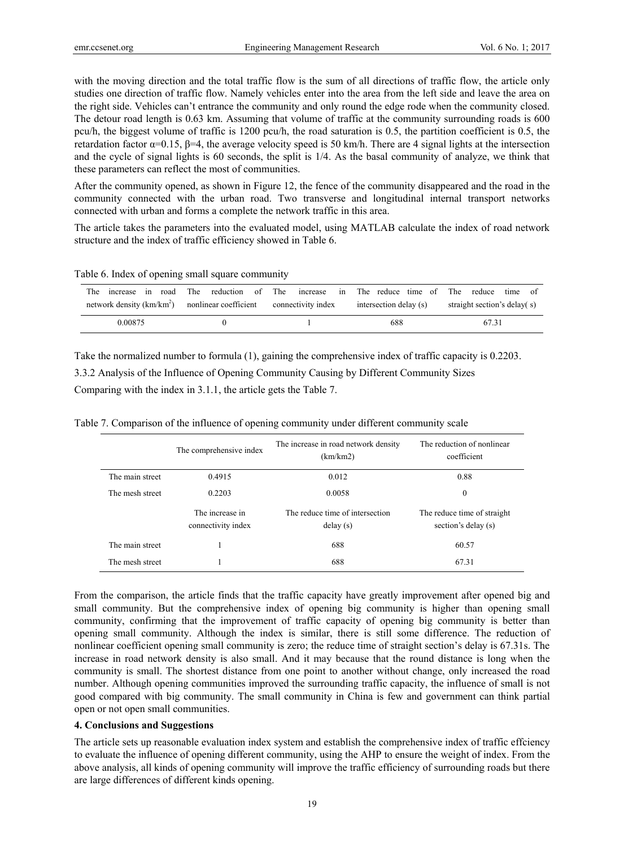with the moving direction and the total traffic flow is the sum of all directions of traffic flow, the article only studies one direction of traffic flow. Namely vehicles enter into the area from the left side and leave the area on the right side. Vehicles can't entrance the community and only round the edge rode when the community closed. The detour road length is 0.63 km. Assuming that volume of traffic at the community surrounding roads is 600 pcu/h, the biggest volume of traffic is 1200 pcu/h, the road saturation is 0.5, the partition coefficient is 0.5, the retardation factor  $\alpha$ =0.15,  $\beta$ =4, the average velocity speed is 50 km/h. There are 4 signal lights at the intersection and the cycle of signal lights is 60 seconds, the split is 1/4. As the basal community of analyze, we think that these parameters can reflect the most of communities.

After the community opened, as shown in Figure 12, the fence of the community disappeared and the road in the community connected with the urban road. Two transverse and longitudinal internal transport networks connected with urban and forms a complete the network traffic in this area.

The article takes the parameters into the evaluated model, using MATLAB calculate the index of road network structure and the index of traffic efficiency showed in Table 6.

Table 6. Index of opening small square community

| road<br>increase in<br>The                                           |  | The reduction of The increase in The reduce time of The reduce | time                        |
|----------------------------------------------------------------------|--|----------------------------------------------------------------|-----------------------------|
| network density $(km/km^2)$ nonlinear coefficient connectivity index |  | intersection delay (s)                                         | straight section's delay(s) |
| 0.00875                                                              |  | 688                                                            | 67.31                       |

Take the normalized number to formula (1), gaining the comprehensive index of traffic capacity is 0.2203. 3.3.2 Analysis of the Influence of Opening Community Causing by Different Community Sizes Comparing with the index in 3.1.1, the article gets the Table 7.

|                 | The comprehensive index               | The increase in road network density<br>(km/km2) | The reduction of nonlinear<br>coefficient          |
|-----------------|---------------------------------------|--------------------------------------------------|----------------------------------------------------|
| The main street | 0.4915                                | 0.012                                            | 0.88                                               |
| The mesh street | 0.2203                                | 0.0058                                           | $\mathbf{0}$                                       |
|                 | The increase in<br>connectivity index | The reduce time of intersection<br>delay(s)      | The reduce time of straight<br>section's delay (s) |
| The main street |                                       | 688                                              | 60.57                                              |
| The mesh street |                                       | 688                                              | 67.31                                              |

Table 7. Comparison of the influence of opening community under different community scale

From the comparison, the article finds that the traffic capacity have greatly improvement after opened big and small community. But the comprehensive index of opening big community is higher than opening small community, confirming that the improvement of traffic capacity of opening big community is better than opening small community. Although the index is similar, there is still some difference. The reduction of nonlinear coefficient opening small community is zero; the reduce time of straight section's delay is 67.31s. The increase in road network density is also small. And it may because that the round distance is long when the community is small. The shortest distance from one point to another without change, only increased the road number. Although opening communities improved the surrounding traffic capacity, the influence of small is not good compared with big community. The small community in China is few and government can think partial open or not open small communities.

# **4. Conclusions and Suggestions**

The article sets up reasonable evaluation index system and establish the comprehensive index of traffic effciency to evaluate the influence of opening different community, using the AHP to ensure the weight of index. From the above analysis, all kinds of opening community will improve the traffic efficiency of surrounding roads but there are large differences of different kinds opening.